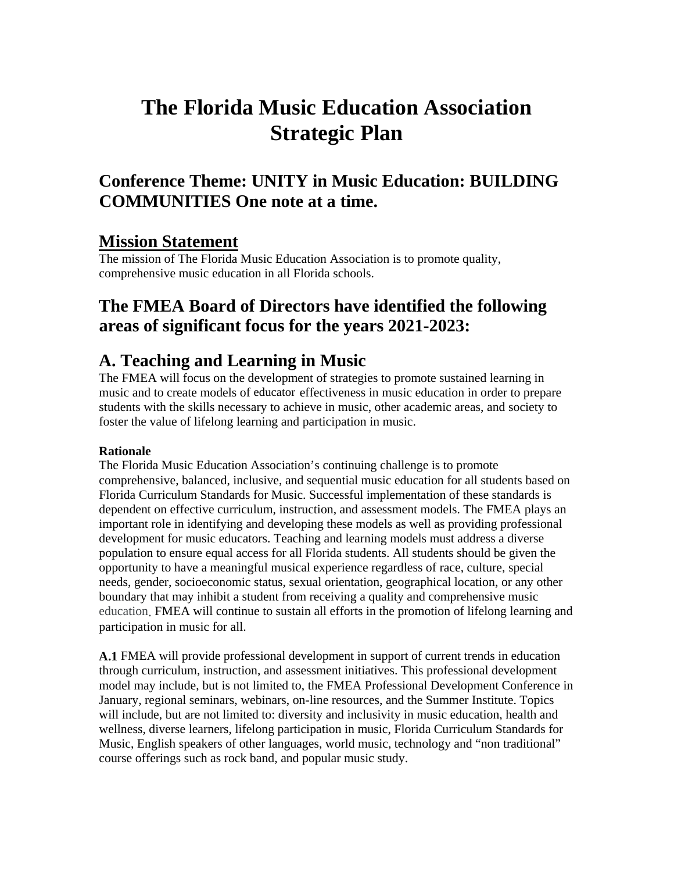# **The Florida Music Education Association Strategic Plan**

## **Conference Theme: UNITY in Music Education: BUILDING COMMUNITIES One note at a time.**

### **Mission Statement**

The mission of The Florida Music Education Association is to promote quality, comprehensive music education in all Florida schools.

### **The FMEA Board of Directors have identified the following areas of significant focus for the years 2021-2023:**

### **A. Teaching and Learning in Music**

The FMEA will focus on the development of strategies to promote sustained learning in music and to create models of educator effectiveness in music education in order to prepare students with the skills necessary to achieve in music, other academic areas, and society to foster the value of lifelong learning and participation in music.

### **Rationale**

The Florida Music Education Association's continuing challenge is to promote comprehensive, balanced, inclusive, and sequential music education for all students based on Florida Curriculum Standards for Music. Successful implementation of these standards is dependent on effective curriculum, instruction, and assessment models. The FMEA plays an important role in identifying and developing these models as well as providing professional development for music educators. Teaching and learning models must address a diverse population to ensure equal access for all Florida students. All students should be given the opportunity to have a meaningful musical experience regardless of race, culture, special needs, gender, socioeconomic status, sexual orientation, geographical location, or any other boundary that may inhibit a student from receiving a quality and comprehensive music education. FMEA will continue to sustain all efforts in the promotion of lifelong learning and participation in music for all.

**A.1** FMEA will provide professional development in support of current trends in education through curriculum, instruction, and assessment initiatives. This professional development model may include, but is not limited to, the FMEA Professional Development Conference in January, regional seminars, webinars, on-line resources, and the Summer Institute. Topics will include, but are not limited to: diversity and inclusivity in music education, health and wellness, diverse learners, lifelong participation in music, Florida Curriculum Standards for Music, English speakers of other languages, world music, technology and "non traditional" course offerings such as rock band, and popular music study.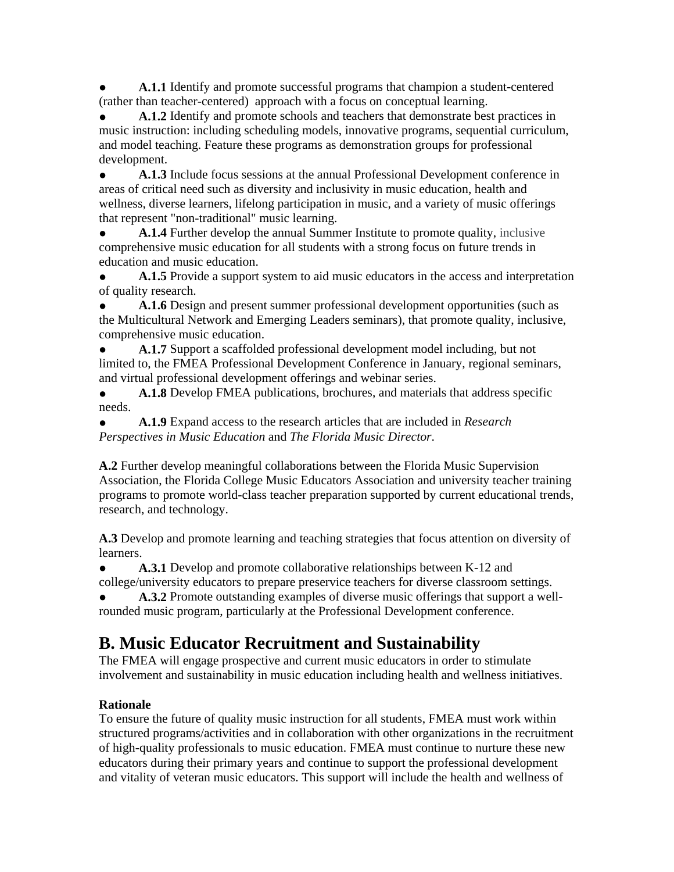A.1.1 Identify and promote successful programs that champion a student-centered (rather than teacher-centered) approach with a focus on conceptual learning.

A.1.2 Identify and promote schools and teachers that demonstrate best practices in music instruction: including scheduling models, innovative programs, sequential curriculum, and model teaching. Feature these programs as demonstration groups for professional development.

A.1.3 Include focus sessions at the annual Professional Development conference in areas of critical need such as diversity and inclusivity in music education, health and wellness, diverse learners, lifelong participation in music, and a variety of music offerings that represent "non-traditional" music learning.

A.1.4 Further develop the annual Summer Institute to promote quality, inclusive comprehensive music education for all students with a strong focus on future trends in education and music education.

A.1.5 Provide a support system to aid music educators in the access and interpretation of quality research.

A.1.6 Design and present summer professional development opportunities (such as the Multicultural Network and Emerging Leaders seminars), that promote quality, inclusive, comprehensive music education.

A.1.7 Support a scaffolded professional development model including, but not limited to, the FMEA Professional Development Conference in January, regional seminars, and virtual professional development offerings and webinar series.

● **A.1.8** Develop FMEA publications, brochures, and materials that address specific needs.

● **A.1.9** Expand access to the research articles that are included in *Research Perspectives in Music Education* and *The Florida Music Director*.

**A.2** Further develop meaningful collaborations between the Florida Music Supervision Association, the Florida College Music Educators Association and university teacher training programs to promote world-class teacher preparation supported by current educational trends, research, and technology.

**A.3** Develop and promote learning and teaching strategies that focus attention on diversity of learners.

● **A.3.1** Develop and promote collaborative relationships between K-12 and college/university educators to prepare preservice teachers for diverse classroom settings.

A.3.2 Promote outstanding examples of diverse music offerings that support a wellrounded music program, particularly at the Professional Development conference.

## **B. Music Educator Recruitment and Sustainability**

The FMEA will engage prospective and current music educators in order to stimulate involvement and sustainability in music education including health and wellness initiatives.

### **Rationale**

To ensure the future of quality music instruction for all students, FMEA must work within structured programs/activities and in collaboration with other organizations in the recruitment of high-quality professionals to music education. FMEA must continue to nurture these new educators during their primary years and continue to support the professional development and vitality of veteran music educators. This support will include the health and wellness of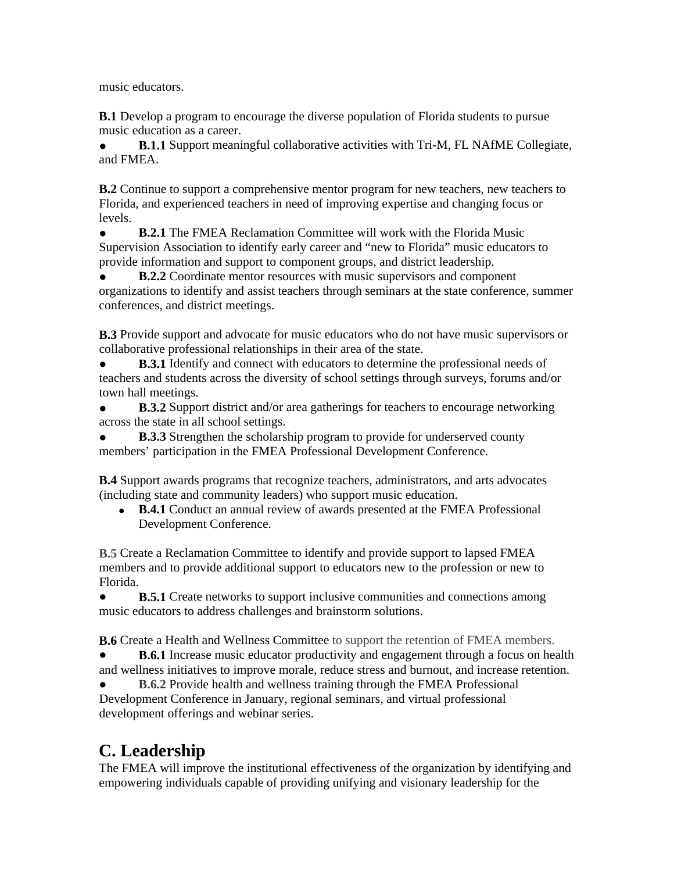music educators.

**B.1** Develop a program to encourage the diverse population of Florida students to pursue music education as a career.

**• B.1.1** Support meaningful collaborative activities with Tri-M, FL NAfME Collegiate, and FMEA.

**B.2** Continue to support a comprehensive mentor program for new teachers, new teachers to Florida, and experienced teachers in need of improving expertise and changing focus or levels.

**B.2.1** The FMEA Reclamation Committee will work with the Florida Music Supervision Association to identify early career and "new to Florida" music educators to provide information and support to component groups, and district leadership.

**B.2.2** Coordinate mentor resources with music supervisors and component organizations to identify and assist teachers through seminars at the state conference, summer conferences, and district meetings.

**B.3** Provide support and advocate for music educators who do not have music supervisors or collaborative professional relationships in their area of the state.

**B.3.1** Identify and connect with educators to determine the professional needs of teachers and students across the diversity of school settings through surveys, forums and/or town hall meetings.

**• B.3.2** Support district and/or area gatherings for teachers to encourage networking across the state in all school settings.

**B.3.3** Strengthen the scholarship program to provide for underserved county members' participation in the FMEA Professional Development Conference.

**B.4** Support awards programs that recognize teachers, administrators, and arts advocates (including state and community leaders) who support music education.

• **B.4.1** Conduct an annual review of awards presented at the FMEA Professional Development Conference.

**B.5** Create a Reclamation Committee to identify and provide support to lapsed FMEA members and to provide additional support to educators new to the profession or new to Florida.

**• B.5.1** Create networks to support inclusive communities and connections among music educators to address challenges and brainstorm solutions.

**B.6** Create a Health and Wellness Committee to support the retention of FMEA members. **B.6.1** Increase music educator productivity and engagement through a focus on health

and wellness initiatives to improve morale, reduce stress and burnout, and increase retention.

**B.6.2** Provide health and wellness training through the FMEA Professional Development Conference in January, regional seminars, and virtual professional development offerings and webinar series.

## **C. Leadership**

The FMEA will improve the institutional effectiveness of the organization by identifying and empowering individuals capable of providing unifying and visionary leadership for the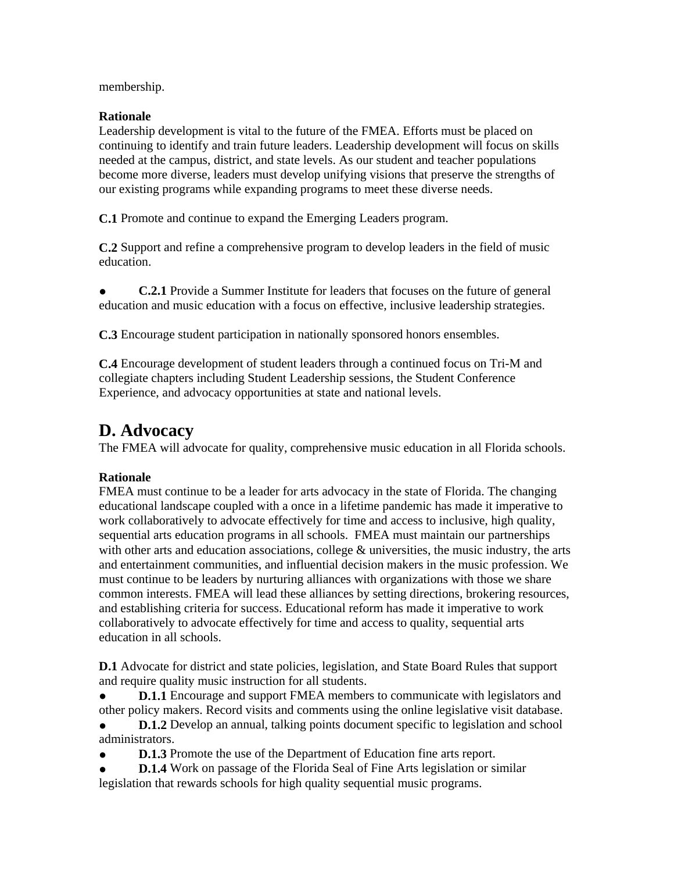membership.

### **Rationale**

Leadership development is vital to the future of the FMEA. Efforts must be placed on continuing to identify and train future leaders. Leadership development will focus on skills needed at the campus, district, and state levels. As our student and teacher populations become more diverse, leaders must develop unifying visions that preserve the strengths of our existing programs while expanding programs to meet these diverse needs.

**C.1** Promote and continue to expand the Emerging Leaders program.

**C.2** Support and refine a comprehensive program to develop leaders in the field of music education.

**C.2.1** Provide a Summer Institute for leaders that focuses on the future of general education and music education with a focus on effective, inclusive leadership strategies.

**C.3** Encourage student participation in nationally sponsored honors ensembles.

**C.4** Encourage development of student leaders through a continued focus on Tri-M and collegiate chapters including Student Leadership sessions, the Student Conference Experience, and advocacy opportunities at state and national levels.

## **D. Advocacy**

The FMEA will advocate for quality, comprehensive music education in all Florida schools.

### **Rationale**

FMEA must continue to be a leader for arts advocacy in the state of Florida. The changing educational landscape coupled with a once in a lifetime pandemic has made it imperative to work collaboratively to advocate effectively for time and access to inclusive, high quality, sequential arts education programs in all schools. FMEA must maintain our partnerships with other arts and education associations, college & universities, the music industry, the arts and entertainment communities, and influential decision makers in the music profession. We must continue to be leaders by nurturing alliances with organizations with those we share common interests. FMEA will lead these alliances by setting directions, brokering resources, and establishing criteria for success. Educational reform has made it imperative to work collaboratively to advocate effectively for time and access to quality, sequential arts education in all schools.

**D.1** Advocate for district and state policies, legislation, and State Board Rules that support and require quality music instruction for all students.

• **D.1.1** Encourage and support FMEA members to communicate with legislators and other policy makers. Record visits and comments using the online legislative visit database.

**D.1.2** Develop an annual, talking points document specific to legislation and school administrators.

**D.1.3** Promote the use of the Department of Education fine arts report.

**D.1.4** Work on passage of the Florida Seal of Fine Arts legislation or similar legislation that rewards schools for high quality sequential music programs.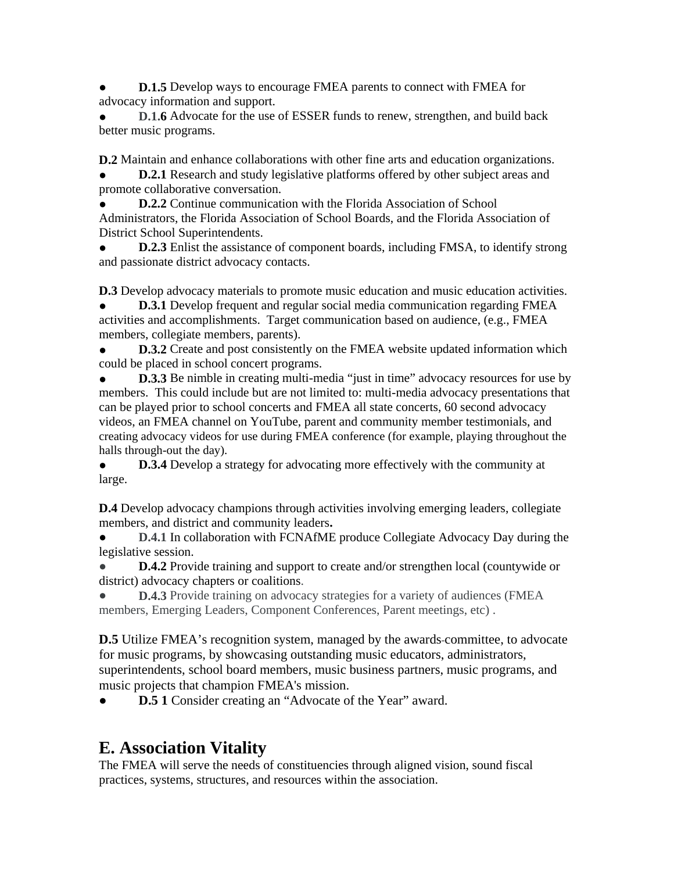**D.1.5** Develop ways to encourage FMEA parents to connect with FMEA for advocacy information and support.

**D.1.6** Advocate for the use of ESSER funds to renew, strengthen, and build back better music programs.

**D.2** Maintain and enhance collaborations with other fine arts and education organizations.

**D.2.1** Research and study legislative platforms offered by other subject areas and promote collaborative conversation.

**D.2.2** Continue communication with the Florida Association of School Administrators, the Florida Association of School Boards, and the Florida Association of District School Superintendents.

**D.2.3** Enlist the assistance of component boards, including FMSA, to identify strong and passionate district advocacy contacts.

**D.3** Develop advocacy materials to promote music education and music education activities.

**D.3.1** Develop frequent and regular social media communication regarding FMEA activities and accomplishments. Target communication based on audience, (e.g., FMEA members, collegiate members, parents).

**D.3.2** Create and post consistently on the FMEA website updated information which could be placed in school concert programs.

**• D.3.3** Be nimble in creating multi-media "just in time" advocacy resources for use by members. This could include but are not limited to: multi-media advocacy presentations that can be played prior to school concerts and FMEA all state concerts, 60 second advocacy videos, an FMEA channel on YouTube, parent and community member testimonials, and creating advocacy videos for use during FMEA conference (for example, playing throughout the halls through-out the day).

**• D.3.4** Develop a strategy for advocating more effectively with the community at large.

**D.4** Develop advocacy champions through activities involving emerging leaders, collegiate members, and district and community leaders**.**

**D.4.1** In collaboration with FCNAfME produce Collegiate Advocacy Day during the legislative session.

**D.4.2** Provide training and support to create and/or strengthen local (countywide or district) advocacy chapters or coalitions.

**D.4.3** Provide training on advocacy strategies for a variety of audiences (FMEA members, Emerging Leaders, Component Conferences, Parent meetings, etc) .

**D.5** Utilize FMEA's recognition system, managed by the awards-committee, to advocate for music programs, by showcasing outstanding music educators, administrators, superintendents, school board members, music business partners, music programs, and music projects that champion FMEA's mission.

**D.5 1** Consider creating an "Advocate of the Year" award.

## **E. Association Vitality**

The FMEA will serve the needs of constituencies through aligned vision, sound fiscal practices, systems, structures, and resources within the association.